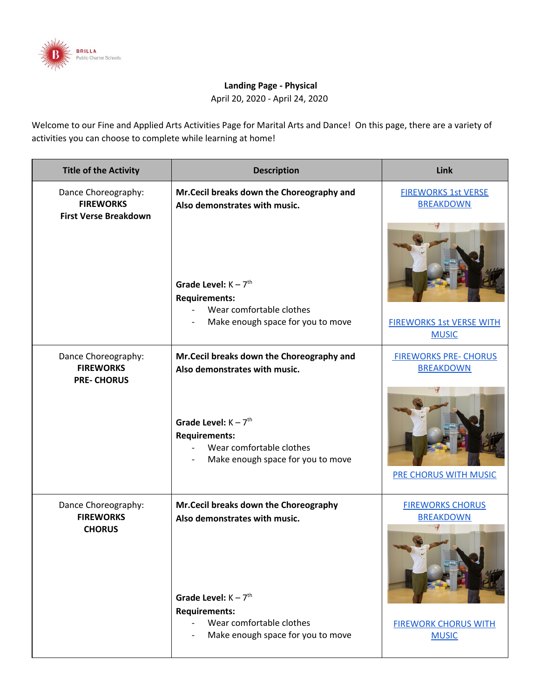

## **Landing Page - Physical**

April 20, 2020 - April 24, 2020

Welcome to our Fine and Applied Arts Activities Page for Marital Arts and Dance! On this page, there are a variety of activities you can choose to complete while learning at home!

| <b>Title of the Activity</b>                                            | <b>Description</b>                                                                                                          | Link                                             |
|-------------------------------------------------------------------------|-----------------------------------------------------------------------------------------------------------------------------|--------------------------------------------------|
| Dance Choreography:<br><b>FIREWORKS</b><br><b>First Verse Breakdown</b> | Mr.Cecil breaks down the Choreography and<br>Also demonstrates with music.                                                  | <b>FIREWORKS 1st VERSE</b><br><b>BREAKDOWN</b>   |
|                                                                         | Grade Level: $K - 7$ <sup>th</sup><br><b>Requirements:</b><br>Wear comfortable clothes<br>Make enough space for you to move | <b>FIREWORKS 1st VERSE WITH</b>                  |
|                                                                         |                                                                                                                             | <b>MUSIC</b>                                     |
| Dance Choreography:<br><b>FIREWORKS</b><br><b>PRE-CHORUS</b>            | Mr.Cecil breaks down the Choreography and<br>Also demonstrates with music.                                                  | <b>FIREWORKS PRE- CHORUS</b><br><b>BREAKDOWN</b> |
|                                                                         | Grade Level: $K - 7$ <sup>th</sup><br><b>Requirements:</b><br>Wear comfortable clothes<br>Make enough space for you to move | <b>PRE CHORUS WITH MUSIC</b>                     |
| Dance Choreography:<br><b>FIREWORKS</b><br><b>CHORUS</b>                | Mr. Cecil breaks down the Choreography<br>Also demonstrates with music.<br>Grade Level: $K - 7$ <sup>th</sup>               | <b>FIREWORKS CHORUS</b><br><b>BREAKDOWN</b>      |
|                                                                         | <b>Requirements:</b><br>Wear comfortable clothes<br>Make enough space for you to move                                       | <b>FIREWORK CHORUS WITH</b><br><b>MUSIC</b>      |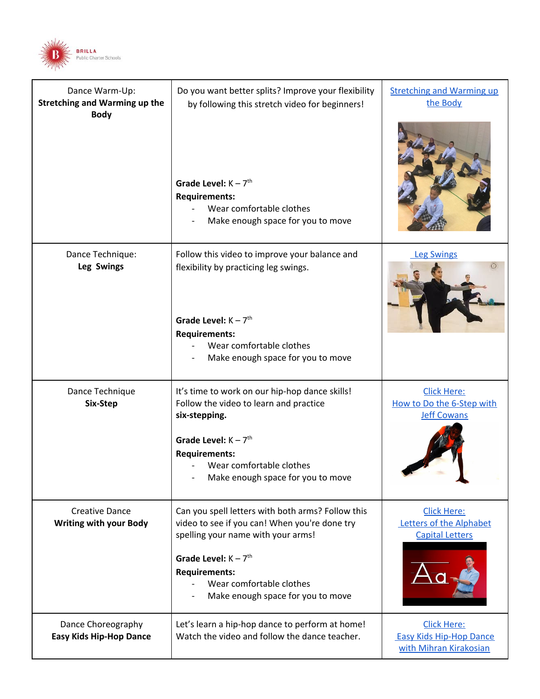

| Dance Warm-Up:<br><b>Stretching and Warming up the</b><br><b>Body</b> | Do you want better splits? Improve your flexibility<br>by following this stretch video for beginners!                                    | <b>Stretching and Warming up</b><br>the Body                                   |
|-----------------------------------------------------------------------|------------------------------------------------------------------------------------------------------------------------------------------|--------------------------------------------------------------------------------|
|                                                                       | Grade Level: $K - 7th$<br><b>Requirements:</b><br>Wear comfortable clothes<br>Make enough space for you to move                          |                                                                                |
| Dance Technique:<br>Leg Swings                                        | Follow this video to improve your balance and<br>flexibility by practicing leg swings.                                                   | <b>Leg Swings</b>                                                              |
|                                                                       | Grade Level: $K - 7$ <sup>th</sup><br><b>Requirements:</b><br>Wear comfortable clothes<br>Make enough space for you to move              |                                                                                |
| Dance Technique<br>Six-Step                                           | It's time to work on our hip-hop dance skills!<br>Follow the video to learn and practice<br>six-stepping.                                | <b>Click Here:</b><br>How to Do the 6-Step with<br><b>Jeff Cowans</b>          |
|                                                                       | Grade Level: $K - 7th$<br><b>Requirements:</b><br>Wear comfortable clothes<br>Make enough space for you to move                          |                                                                                |
| <b>Creative Dance</b><br><b>Writing with your Body</b>                | Can you spell letters with both arms? Follow this<br>video to see if you can! When you're done try<br>spelling your name with your arms! | <b>Click Here:</b><br>Letters of the Alphabet<br><b>Capital Letters</b>        |
|                                                                       | Grade Level: $K - 7th$<br><b>Requirements:</b><br>Wear comfortable clothes<br>Make enough space for you to move                          |                                                                                |
| Dance Choreography<br><b>Easy Kids Hip-Hop Dance</b>                  | Let's learn a hip-hop dance to perform at home!<br>Watch the video and follow the dance teacher.                                         | <b>Click Here:</b><br><b>Easy Kids Hip-Hop Dance</b><br>with Mihran Kirakosian |